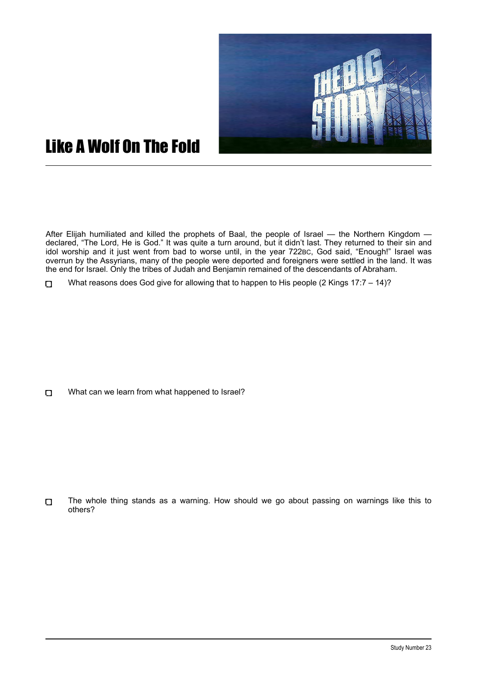

## Like A Wolf On The Fold

After Elijah humiliated and killed the prophets of Baal, the people of Israel — the Northern Kingdom declared, "The Lord, He is God." It was quite a turn around, but it didn't last. They returned to their sin and idol worship and it just went from bad to worse until, in the year 722BC, God said, "Enough!" Israel was overrun by the Assyrians, many of the people were deported and foreigners were settled in the land. It was the end for Israel. Only the tribes of Judah and Benjamin remained of the descendants of Abraham.

What reasons does God give for allowing that to happen to His people  $(2$  Kings 17:7 – 14 $)$ ?  $\Box$ 

 $\Box$ What can we learn from what happened to Israel?

The whole thing stands as a warning. How should we go about passing on warnings like this to  $\Box$ others?